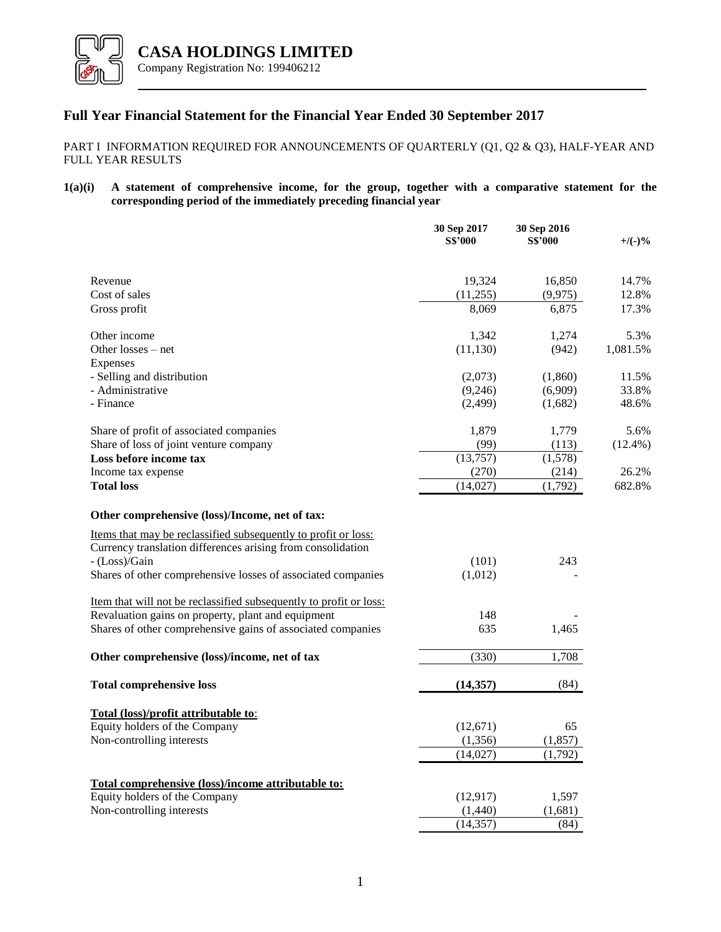

# **Full Year Financial Statement for the Financial Year Ended 30 September 2017**

## PART I INFORMATION REQUIRED FOR ANNOUNCEMENTS OF QUARTERLY (Q1, Q2 & Q3), HALF-YEAR AND FULL YEAR RESULTS

## **1(a)(i) A statement of comprehensive income, for the group, together with a comparative statement for the corresponding period of the immediately preceding financial year**

|                                                                                                                               | 30 Sep 2017<br><b>S\$'000</b> | 30 Sep 2016<br><b>S\$'000</b> | $+$ /(-)%      |
|-------------------------------------------------------------------------------------------------------------------------------|-------------------------------|-------------------------------|----------------|
|                                                                                                                               |                               |                               |                |
| Revenue<br>Cost of sales                                                                                                      | 19,324<br>(11,255)            | 16,850<br>(9,975)             | 14.7%<br>12.8% |
| Gross profit                                                                                                                  | 8,069                         | 6,875                         | 17.3%          |
|                                                                                                                               |                               |                               |                |
| Other income                                                                                                                  | 1,342                         | 1,274                         | 5.3%           |
| Other losses – net                                                                                                            | (11, 130)                     | (942)                         | 1,081.5%       |
| Expenses                                                                                                                      |                               |                               |                |
| - Selling and distribution                                                                                                    | (2,073)                       | (1,860)                       | 11.5%          |
| - Administrative                                                                                                              | (9,246)                       | (6,909)                       | 33.8%          |
| - Finance                                                                                                                     | (2, 499)                      | (1,682)                       | 48.6%          |
| Share of profit of associated companies                                                                                       | 1,879                         | 1,779                         | 5.6%           |
| Share of loss of joint venture company                                                                                        | (99)                          | (113)                         | $(12.4\%)$     |
| Loss before income tax                                                                                                        | (13,757)                      | (1,578)                       |                |
| Income tax expense                                                                                                            | (270)                         | (214)                         | 26.2%          |
| <b>Total loss</b>                                                                                                             | (14,027)                      | (1,792)                       | 682.8%         |
| Other comprehensive (loss)/Income, net of tax:                                                                                |                               |                               |                |
| Items that may be reclassified subsequently to profit or loss:<br>Currency translation differences arising from consolidation |                               |                               |                |
| - (Loss)/Gain                                                                                                                 | (101)                         | 243                           |                |
| Shares of other comprehensive losses of associated companies                                                                  | (1,012)                       |                               |                |
| Item that will not be reclassified subsequently to profit or loss:                                                            |                               |                               |                |
| Revaluation gains on property, plant and equipment                                                                            | 148                           |                               |                |
| Shares of other comprehensive gains of associated companies                                                                   | 635                           | 1,465                         |                |
| Other comprehensive (loss)/income, net of tax                                                                                 | (330)                         | 1,708                         |                |
| <b>Total comprehensive loss</b>                                                                                               | (14, 357)                     | (84)                          |                |
|                                                                                                                               |                               |                               |                |
| Total (loss)/profit attributable to:                                                                                          |                               |                               |                |
| Equity holders of the Company<br>Non-controlling interests                                                                    | (12,671)<br>(1, 356)          | 65<br>(1, 857)                |                |
|                                                                                                                               |                               |                               |                |
|                                                                                                                               | (14,027)                      | (1,792)                       |                |
| Total comprehensive (loss)/income attributable to:                                                                            |                               |                               |                |
| Equity holders of the Company                                                                                                 | (12, 917)                     | 1,597                         |                |
| Non-controlling interests                                                                                                     | (1,440)                       | (1,681)                       |                |
|                                                                                                                               | (14, 357)                     | (84)                          |                |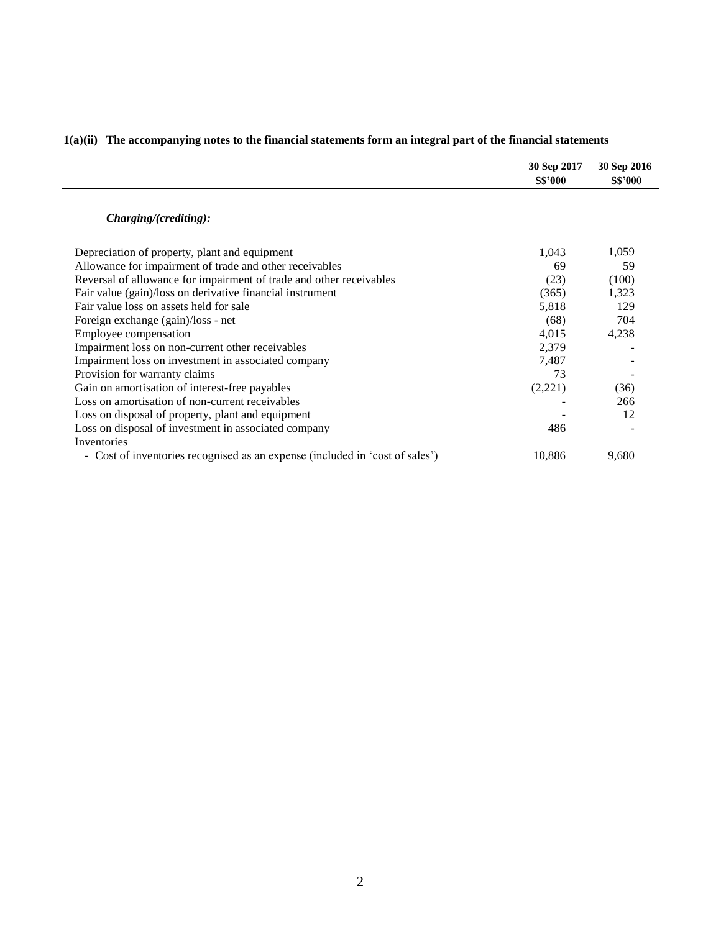|                                                                              | 30 Sep 2017<br><b>S\$'000</b> | 30 Sep 2016<br><b>S\$'000</b> |
|------------------------------------------------------------------------------|-------------------------------|-------------------------------|
| Charging/(crediting):                                                        |                               |                               |
| Depreciation of property, plant and equipment                                | 1,043                         | 1,059                         |
| Allowance for impairment of trade and other receivables                      | 69                            | 59                            |
| Reversal of allowance for impairment of trade and other receivables          | (23)                          | (100)                         |
| Fair value (gain)/loss on derivative financial instrument                    | (365)                         | 1,323                         |
| Fair value loss on assets held for sale                                      | 5,818                         | 129                           |
| Foreign exchange (gain)/loss - net                                           | (68)                          | 704                           |
| Employee compensation                                                        | 4,015                         | 4,238                         |
| Impairment loss on non-current other receivables                             | 2,379                         |                               |
| Impairment loss on investment in associated company                          | 7,487                         |                               |
| Provision for warranty claims                                                | 73                            |                               |
| Gain on amortisation of interest-free payables                               | (2,221)                       | (36)                          |
| Loss on amortisation of non-current receivables                              |                               | 266                           |
| Loss on disposal of property, plant and equipment                            |                               | 12                            |
| Loss on disposal of investment in associated company                         | 486                           |                               |
| Inventories                                                                  |                               |                               |
| - Cost of inventories recognised as an expense (included in 'cost of sales') | 10,886                        | 9,680                         |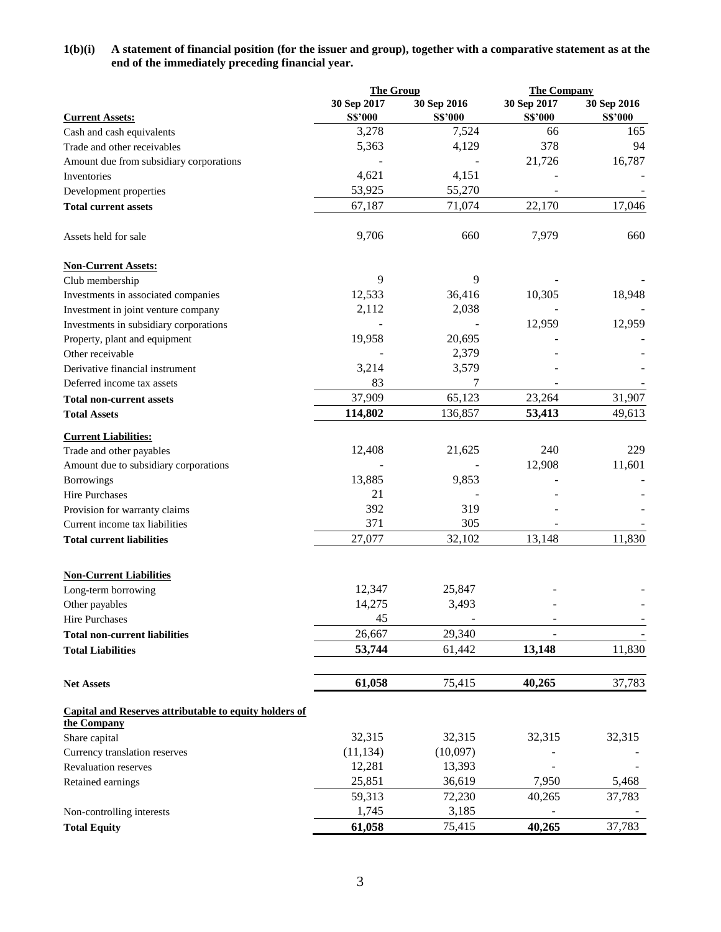## **1(b)(i) A statement of financial position (for the issuer and group), together with a comparative statement as at the end of the immediately preceding financial year.**

|                                                               | <b>The Group</b> |                 | <b>The Company</b> |                |
|---------------------------------------------------------------|------------------|-----------------|--------------------|----------------|
|                                                               | 30 Sep 2017      | 30 Sep 2016     | 30 Sep 2017        | 30 Sep 2016    |
| <b>Current Assets:</b>                                        | <b>S\$'000</b>   | <b>S\$'000</b>  | <b>S\$'000</b>     | <b>S\$'000</b> |
| Cash and cash equivalents                                     | 3,278            | 7,524           | 66                 | 165            |
| Trade and other receivables                                   | 5,363            | 4,129           | 378                | 94             |
| Amount due from subsidiary corporations                       |                  |                 | 21,726             | 16,787         |
| Inventories                                                   | 4,621            | 4,151           |                    |                |
| Development properties                                        | 53,925           | 55,270          |                    |                |
| <b>Total current assets</b>                                   | 67,187           | 71,074          | 22,170             | 17,046         |
| Assets held for sale                                          | 9,706            | 660             | 7,979              | 660            |
| <b>Non-Current Assets:</b>                                    |                  |                 |                    |                |
| Club membership                                               | 9                | 9               |                    |                |
| Investments in associated companies                           | 12,533           | 36,416          | 10,305             | 18,948         |
| Investment in joint venture company                           | 2,112            | 2,038           |                    |                |
| Investments in subsidiary corporations                        |                  |                 | 12,959             | 12,959         |
| Property, plant and equipment                                 | 19,958           | 20,695          |                    |                |
| Other receivable                                              |                  | 2,379           |                    |                |
| Derivative financial instrument                               | 3,214            | 3,579           |                    |                |
| Deferred income tax assets                                    | 83               | 7               |                    |                |
| <b>Total non-current assets</b>                               | 37,909           | 65,123          | 23,264             | 31,907         |
| <b>Total Assets</b>                                           | 114,802          | 136,857         | 53,413             | 49,613         |
| <b>Current Liabilities:</b>                                   |                  |                 |                    |                |
| Trade and other payables                                      | 12,408           | 21,625          | 240                | 229            |
| Amount due to subsidiary corporations                         |                  |                 | 12,908             | 11,601         |
| Borrowings                                                    | 13,885           | 9,853           |                    |                |
| Hire Purchases                                                | 21               |                 |                    |                |
| Provision for warranty claims                                 | 392              | 319             |                    |                |
| Current income tax liabilities                                | 371              | 305             |                    |                |
| <b>Total current liabilities</b>                              | 27,077           | 32,102          | 13,148             | 11,830         |
| <b>Non-Current Liabilities</b>                                |                  |                 |                    |                |
| Long-term borrowing                                           | 12,347           | 25,847          |                    |                |
| Other payables                                                | 14,275           | 3,493           |                    |                |
| Hire Purchases                                                | 45               |                 |                    |                |
| <b>Total non-current liabilities</b>                          | 26,667           | 29,340          |                    |                |
| <b>Total Liabilities</b>                                      | 53,744           | 61,442          | 13,148             | 11,830         |
| <b>Net Assets</b>                                             | 61,058           | 75,415          | 40,265             | 37,783         |
| <b>Capital and Reserves attributable to equity holders of</b> |                  |                 |                    |                |
| the Company                                                   | 32,315           | 32,315          |                    |                |
| Share capital                                                 |                  |                 | 32,315             | 32,315         |
| Currency translation reserves                                 | (11, 134)        | (10,097)        |                    |                |
| <b>Revaluation reserves</b>                                   | 12,281           | 13,393          |                    |                |
| Retained earnings                                             | 25,851<br>59,313 | 36,619          | 7,950              | 5,468          |
|                                                               | 1,745            | 72,230<br>3,185 | 40,265             | 37,783         |
| Non-controlling interests                                     |                  |                 |                    |                |
| <b>Total Equity</b>                                           | 61,058           | 75,415          | 40,265             | 37,783         |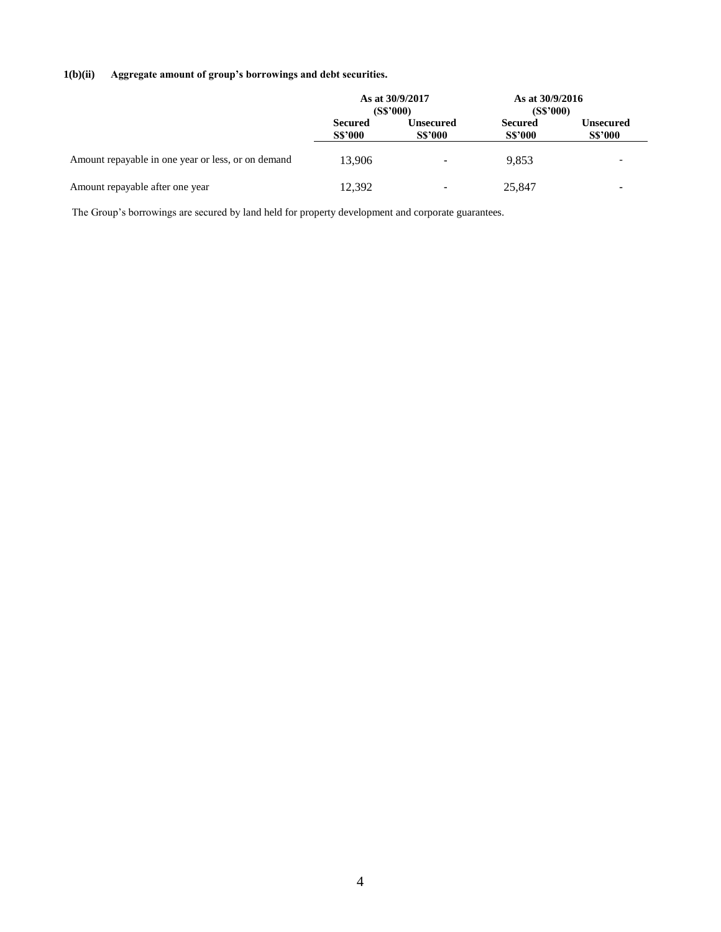# **1(b)(ii) Aggregate amount of group's borrowings and debt securities.**

|                                                    | As at 30/9/2017<br>(S\$'000)     |                             | As at 30/9/2016<br>(S\$'000)     |                                    |
|----------------------------------------------------|----------------------------------|-----------------------------|----------------------------------|------------------------------------|
|                                                    | <b>Secured</b><br><b>S\$'000</b> | Unsecured<br><b>S\$'000</b> | <b>Secured</b><br><b>S\$'000</b> | <b>Unsecured</b><br><b>S\$'000</b> |
| Amount repayable in one year or less, or on demand | 13.906                           | $\sim$                      | 9.853                            | $\overline{\phantom{0}}$           |
| Amount repayable after one year                    | 12.392                           | $\blacksquare$              | 25,847                           |                                    |

The Group's borrowings are secured by land held for property development and corporate guarantees.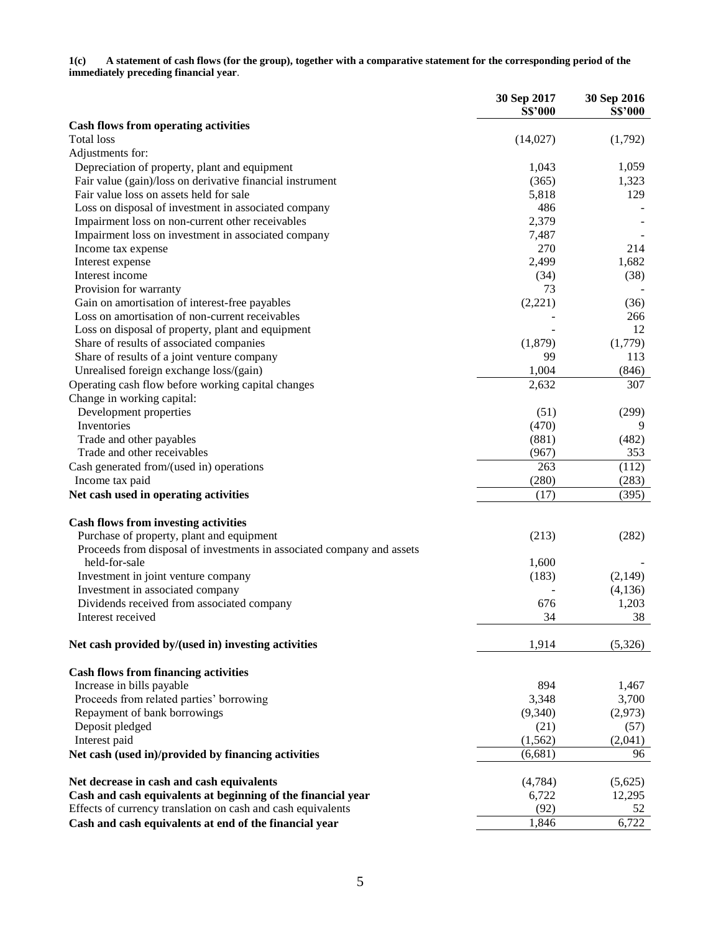**1(c) A statement of cash flows (for the group), together with a comparative statement for the corresponding period of the immediately preceding financial year**.

|                                                                        | 30 Sep 2017    | 30 Sep 2016    |
|------------------------------------------------------------------------|----------------|----------------|
|                                                                        | <b>S\$'000</b> | <b>S\$'000</b> |
| <b>Cash flows from operating activities</b><br><b>Total</b> loss       | (14,027)       | (1,792)        |
| Adjustments for:                                                       |                |                |
| Depreciation of property, plant and equipment                          | 1,043          | 1,059          |
| Fair value (gain)/loss on derivative financial instrument              | (365)          | 1,323          |
| Fair value loss on assets held for sale                                | 5,818          | 129            |
| Loss on disposal of investment in associated company                   | 486            |                |
| Impairment loss on non-current other receivables                       | 2,379          |                |
| Impairment loss on investment in associated company                    | 7,487          |                |
| Income tax expense                                                     | 270            | 214            |
| Interest expense                                                       | 2,499          | 1,682          |
| Interest income                                                        | (34)           | (38)           |
| Provision for warranty                                                 | 73             |                |
| Gain on amortisation of interest-free payables                         | (2,221)        | (36)           |
| Loss on amortisation of non-current receivables                        |                | 266            |
| Loss on disposal of property, plant and equipment                      |                | 12             |
| Share of results of associated companies                               | (1,879)        | (1,779)        |
| Share of results of a joint venture company                            | 99             | 113            |
| Unrealised foreign exchange loss/(gain)                                | 1,004          | (846)          |
| Operating cash flow before working capital changes                     | 2,632          | 307            |
|                                                                        |                |                |
| Change in working capital:                                             |                |                |
| Development properties<br>Inventories                                  | (51)<br>(470)  | (299)<br>9     |
|                                                                        |                |                |
| Trade and other payables                                               | (881)          | (482)          |
| Trade and other receivables                                            | (967)          | 353            |
| Cash generated from/(used in) operations                               | 263            | (112)          |
| Income tax paid                                                        | (280)          | (283)          |
| Net cash used in operating activities                                  | (17)           | (395)          |
| <b>Cash flows from investing activities</b>                            |                |                |
| Purchase of property, plant and equipment                              | (213)          | (282)          |
| Proceeds from disposal of investments in associated company and assets |                |                |
| held-for-sale                                                          | 1,600          |                |
| Investment in joint venture company                                    | (183)          | (2,149)        |
| Investment in associated company                                       |                | (4,136)        |
| Dividends received from associated company                             | 676            | 1,203          |
|                                                                        | 34             | 38             |
| Interest received                                                      |                |                |
| Net cash provided by/(used in) investing activities                    | 1,914          | (5,326)        |
|                                                                        |                |                |
| <b>Cash flows from financing activities</b>                            |                |                |
| Increase in bills payable                                              | 894            | 1,467          |
| Proceeds from related parties' borrowing                               | 3,348          | 3,700          |
| Repayment of bank borrowings                                           | (9,340)        | (2,973)        |
| Deposit pledged                                                        | (21)           | (57)           |
| Interest paid                                                          | (1, 562)       | (2,041)        |
| Net cash (used in)/provided by financing activities                    | (6,681)        | 96             |
| Net decrease in cash and cash equivalents                              | (4,784)        | (5,625)        |
| Cash and cash equivalents at beginning of the financial year           | 6,722          | 12,295         |
| Effects of currency translation on cash and cash equivalents           | (92)           | 52             |
| Cash and cash equivalents at end of the financial year                 | 1,846          | 6,722          |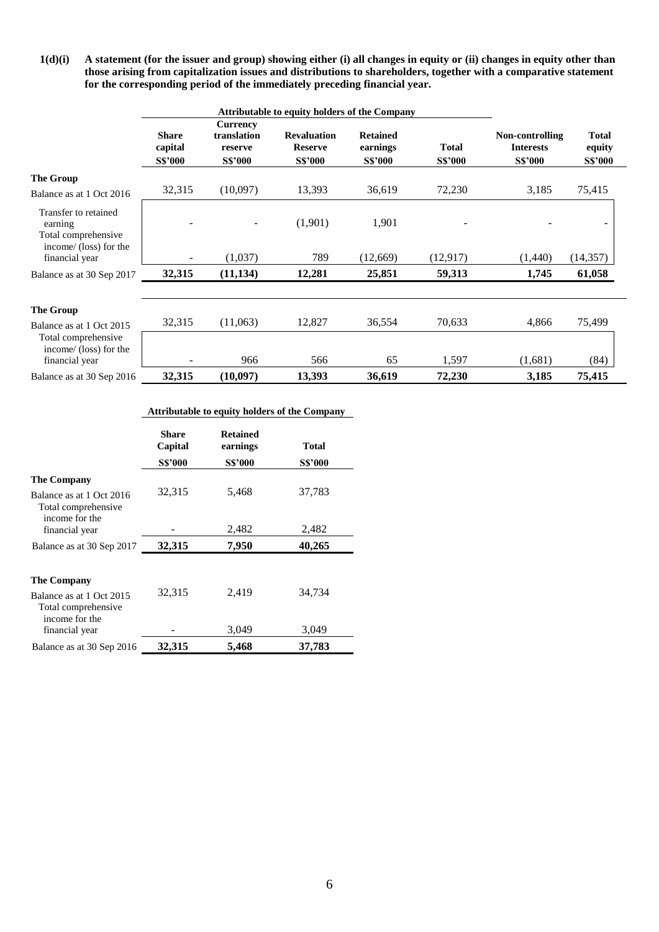**1(d)(i) A statement (for the issuer and group) showing either (i) all changes in equity or (ii) changes in equity other than those arising from capitalization issues and distributions to shareholders, together with a comparative statement for the corresponding period of the immediately preceding financial year.** 

|                                                                                  | <b>Attributable to equity holders of the Company</b> |                                                             |                                                        |                                               |                                |                                                       |                                          |
|----------------------------------------------------------------------------------|------------------------------------------------------|-------------------------------------------------------------|--------------------------------------------------------|-----------------------------------------------|--------------------------------|-------------------------------------------------------|------------------------------------------|
|                                                                                  | <b>Share</b><br>capital<br><b>S\$'000</b>            | <b>Currency</b><br>translation<br>reserve<br><b>S\$'000</b> | <b>Revaluation</b><br><b>Reserve</b><br><b>S\$'000</b> | <b>Retained</b><br>earnings<br><b>S\$'000</b> | <b>Total</b><br><b>S\$'000</b> | Non-controlling<br><b>Interests</b><br><b>S\$'000</b> | <b>Total</b><br>equity<br><b>S\$'000</b> |
| The Group<br>Balance as at 1 Oct 2016                                            | 32,315                                               | (10,097)                                                    | 13,393                                                 | 36,619                                        | 72,230                         | 3,185                                                 | 75,415                                   |
| Transfer to retained<br>earning<br>Total comprehensive<br>income/ (loss) for the |                                                      | $\overline{\phantom{a}}$                                    | (1,901)                                                | 1,901                                         |                                |                                                       |                                          |
| financial year                                                                   | ۰.                                                   | (1,037)                                                     | 789                                                    | (12,669)                                      | (12, 917)                      | (1,440)                                               | (14, 357)                                |
| Balance as at 30 Sep 2017                                                        | 32,315                                               | (11, 134)                                                   | 12,281                                                 | 25,851                                        | 59,313                         | 1,745                                                 | 61,058                                   |
|                                                                                  |                                                      |                                                             |                                                        |                                               |                                |                                                       |                                          |
| The Group<br>Balance as at 1 Oct 2015                                            | 32,315                                               | (11,063)                                                    | 12,827                                                 | 36,554                                        | 70,633                         | 4,866                                                 | 75,499                                   |
| Total comprehensive<br>income/ (loss) for the<br>financial year                  |                                                      | 966                                                         | 566                                                    | 65                                            | 1,597                          | (1,681)                                               | (84)                                     |
| Balance as at 30 Sep 2016                                                        | 32,315                                               | (10,097)                                                    | 13,393                                                 | 36,619                                        | 72,230                         | 3,185                                                 | 75,415                                   |

### **Attributable to equity holders of the Company**

|                                                                       | <b>Share</b><br>Capital | <b>Retained</b><br>earnings | <b>Total</b>   |
|-----------------------------------------------------------------------|-------------------------|-----------------------------|----------------|
|                                                                       | <b>S\$'000</b>          | <b>S\$'000</b>              | <b>S\$'000</b> |
| <b>The Company</b><br>Balance as at 1 Oct 2016<br>Total comprehensive | 32,315                  | 5,468                       | 37,783         |
| income for the<br>financial year                                      |                         | 2,482                       | 2,482          |
| Balance as at 30 Sep 2017                                             | 32,315                  | 7,950                       | 40,265         |
| <b>The Company</b><br>Balance as at 1 Oct 2015<br>Total comprehensive | 32,315                  | 2,419                       | 34,734         |
| income for the<br>financial year                                      |                         | 3,049                       | 3,049          |
| Balance as at 30 Sep 2016                                             | 32,315                  | 5,468                       | 37,783         |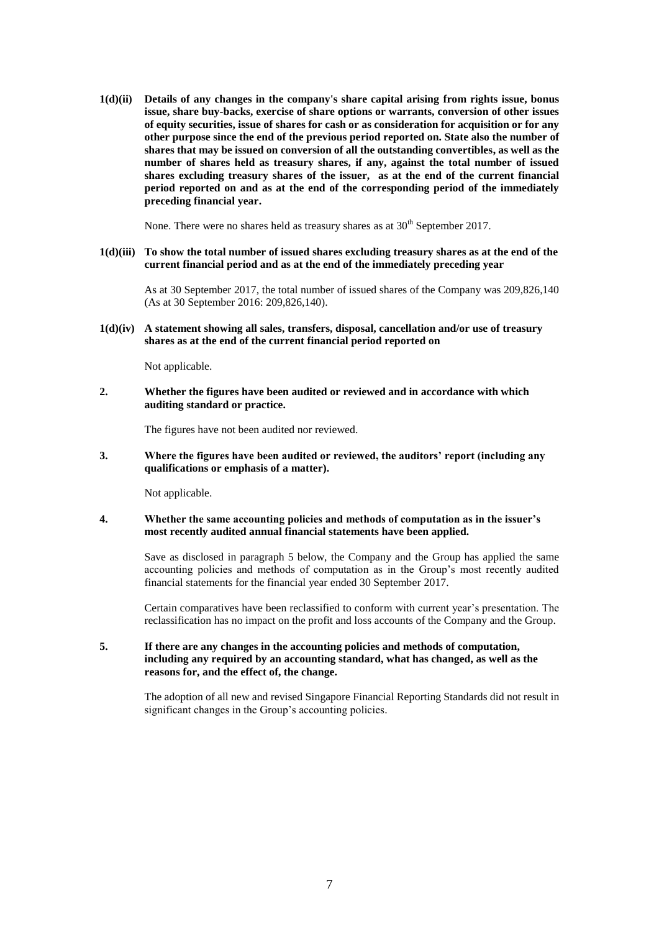**1(d)(ii) Details of any changes in the company's share capital arising from rights issue, bonus issue, share buy-backs, exercise of share options or warrants, conversion of other issues of equity securities, issue of shares for cash or as consideration for acquisition or for any other purpose since the end of the previous period reported on. State also the number of shares that may be issued on conversion of all the outstanding convertibles, as well as the number of shares held as treasury shares, if any, against the total number of issued shares excluding treasury shares of the issuer, as at the end of the current financial period reported on and as at the end of the corresponding period of the immediately preceding financial year.** 

None. There were no shares held as treasury shares as at  $30<sup>th</sup>$  September 2017.

**1(d)(iii) To show the total number of issued shares excluding treasury shares as at the end of the current financial period and as at the end of the immediately preceding year**

As at 30 September 2017, the total number of issued shares of the Company was 209,826,140 (As at 30 September 2016: 209,826,140).

**1(d)(iv) A statement showing all sales, transfers, disposal, cancellation and/or use of treasury shares as at the end of the current financial period reported on**

Not applicable.

**2. Whether the figures have been audited or reviewed and in accordance with which auditing standard or practice.** 

The figures have not been audited nor reviewed.

**3. Where the figures have been audited or reviewed, the auditors' report (including any qualifications or emphasis of a matter).** 

Not applicable.

**4. Whether the same accounting policies and methods of computation as in the issuer's most recently audited annual financial statements have been applied.** 

> Save as disclosed in paragraph 5 below, the Company and the Group has applied the same accounting policies and methods of computation as in the Group's most recently audited financial statements for the financial year ended 30 September 2017.

> Certain comparatives have been reclassified to conform with current year's presentation. The reclassification has no impact on the profit and loss accounts of the Company and the Group.

## **5. If there are any changes in the accounting policies and methods of computation, including any required by an accounting standard, what has changed, as well as the reasons for, and the effect of, the change.**

The adoption of all new and revised Singapore Financial Reporting Standards did not result in significant changes in the Group's accounting policies.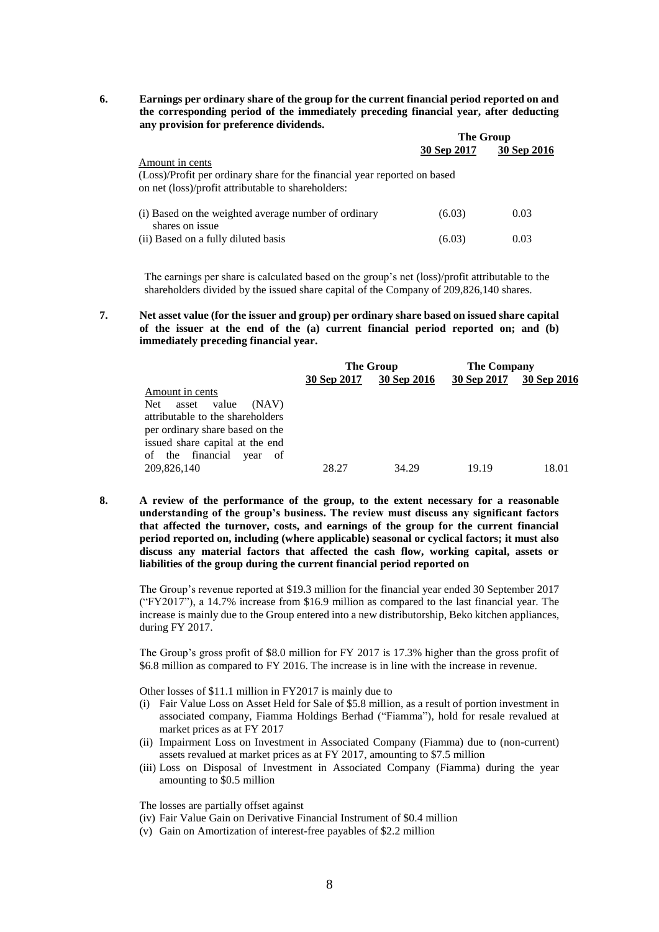**6. Earnings per ordinary share of the group for the current financial period reported on and the corresponding period of the immediately preceding financial year, after deducting any provision for preference dividends.**   $T_{\rm H}$   $\alpha$ 

|                                                                                                                                                    | <b>THE ALOND</b> |             |  |
|----------------------------------------------------------------------------------------------------------------------------------------------------|------------------|-------------|--|
|                                                                                                                                                    | 30 Sep 2017      | 30 Sep 2016 |  |
| Amount in cents<br>(Loss)/Profit per ordinary share for the financial year reported on based<br>on net (loss)/profit attributable to shareholders: |                  |             |  |
| (i) Based on the weighted average number of ordinary<br>shares on issue                                                                            | (6.03)           | 0.03        |  |
| (ii) Based on a fully diluted basis                                                                                                                | (6.03)           | 0.03        |  |

The earnings per share is calculated based on the group's net (loss)/profit attributable to the shareholders divided by the issued share capital of the Company of 209,826,140 shares.

**7. Net asset value (for the issuer and group) per ordinary share based on issued share capital of the issuer at the end of the (a) current financial period reported on; and (b) immediately preceding financial year.** 

|                                  | The Group   |             | <b>The Company</b> |             |
|----------------------------------|-------------|-------------|--------------------|-------------|
|                                  | 30 Sep 2017 | 30 Sep 2016 | 30 Sep 2017        | 30 Sep 2016 |
| Amount in cents                  |             |             |                    |             |
| Net.<br>value<br>(NAV)<br>asset  |             |             |                    |             |
| attributable to the shareholders |             |             |                    |             |
| per ordinary share based on the  |             |             |                    |             |
| issued share capital at the end  |             |             |                    |             |
| of the financial year<br>of      |             |             |                    |             |
| 209,826,140                      | 28.27       | 34.29       | 19.19              | 18.01       |

**8. A review of the performance of the group, to the extent necessary for a reasonable understanding of the group's business. The review must discuss any significant factors that affected the turnover, costs, and earnings of the group for the current financial period reported on, including (where applicable) seasonal or cyclical factors; it must also discuss any material factors that affected the cash flow, working capital, assets or liabilities of the group during the current financial period reported on**

The Group's revenue reported at \$19.3 million for the financial year ended 30 September 2017 ("FY2017"), a 14.7% increase from \$16.9 million as compared to the last financial year. The increase is mainly due to the Group entered into a new distributorship, Beko kitchen appliances, during FY 2017.

The Group's gross profit of \$8.0 million for FY 2017 is 17.3% higher than the gross profit of \$6.8 million as compared to FY 2016. The increase is in line with the increase in revenue.

Other losses of \$11.1 million in FY2017 is mainly due to

- (i) Fair Value Loss on Asset Held for Sale of \$5.8 million, as a result of portion investment in associated company, Fiamma Holdings Berhad ("Fiamma"), hold for resale revalued at market prices as at FY 2017
- (ii) Impairment Loss on Investment in Associated Company (Fiamma) due to (non-current) assets revalued at market prices as at FY 2017, amounting to \$7.5 million
- (iii) Loss on Disposal of Investment in Associated Company (Fiamma) during the year amounting to \$0.5 million

The losses are partially offset against

- (iv) Fair Value Gain on Derivative Financial Instrument of \$0.4 million
- (v) Gain on Amortization of interest-free payables of \$2.2 million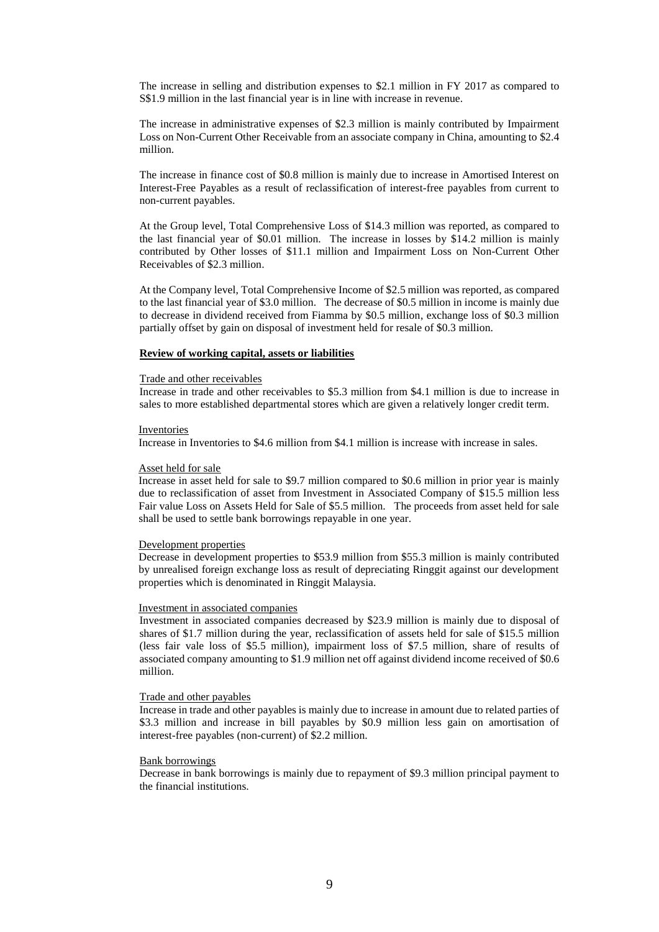The increase in selling and distribution expenses to \$2.1 million in FY 2017 as compared to S\$1.9 million in the last financial year is in line with increase in revenue.

The increase in administrative expenses of \$2.3 million is mainly contributed by Impairment Loss on Non-Current Other Receivable from an associate company in China, amounting to \$2.4 million.

The increase in finance cost of \$0.8 million is mainly due to increase in Amortised Interest on Interest-Free Payables as a result of reclassification of interest-free payables from current to non-current payables.

At the Group level, Total Comprehensive Loss of \$14.3 million was reported, as compared to the last financial year of \$0.01 million. The increase in losses by \$14.2 million is mainly contributed by Other losses of \$11.1 million and Impairment Loss on Non-Current Other Receivables of \$2.3 million.

At the Company level, Total Comprehensive Income of \$2.5 million was reported, as compared to the last financial year of \$3.0 million. The decrease of \$0.5 million in income is mainly due to decrease in dividend received from Fiamma by \$0.5 million, exchange loss of \$0.3 million partially offset by gain on disposal of investment held for resale of \$0.3 million.

#### **Review of working capital, assets or liabilities**

#### Trade and other receivables

Increase in trade and other receivables to \$5.3 million from \$4.1 million is due to increase in sales to more established departmental stores which are given a relatively longer credit term.

#### **Inventories**

Increase in Inventories to \$4.6 million from \$4.1 million is increase with increase in sales.

#### Asset held for sale

Increase in asset held for sale to \$9.7 million compared to \$0.6 million in prior year is mainly due to reclassification of asset from Investment in Associated Company of \$15.5 million less Fair value Loss on Assets Held for Sale of \$5.5 million. The proceeds from asset held for sale shall be used to settle bank borrowings repayable in one year.

#### Development properties

Decrease in development properties to \$53.9 million from \$55.3 million is mainly contributed by unrealised foreign exchange loss as result of depreciating Ringgit against our development properties which is denominated in Ringgit Malaysia.

#### Investment in associated companies

Investment in associated companies decreased by \$23.9 million is mainly due to disposal of shares of \$1.7 million during the year, reclassification of assets held for sale of \$15.5 million (less fair vale loss of \$5.5 million), impairment loss of \$7.5 million, share of results of associated company amounting to \$1.9 million net off against dividend income received of \$0.6 million.

#### Trade and other payables

Increase in trade and other payables is mainly due to increase in amount due to related parties of \$3.3 million and increase in bill payables by \$0.9 million less gain on amortisation of interest-free payables (non-current) of \$2.2 million.

### Bank borrowings

Decrease in bank borrowings is mainly due to repayment of \$9.3 million principal payment to the financial institutions.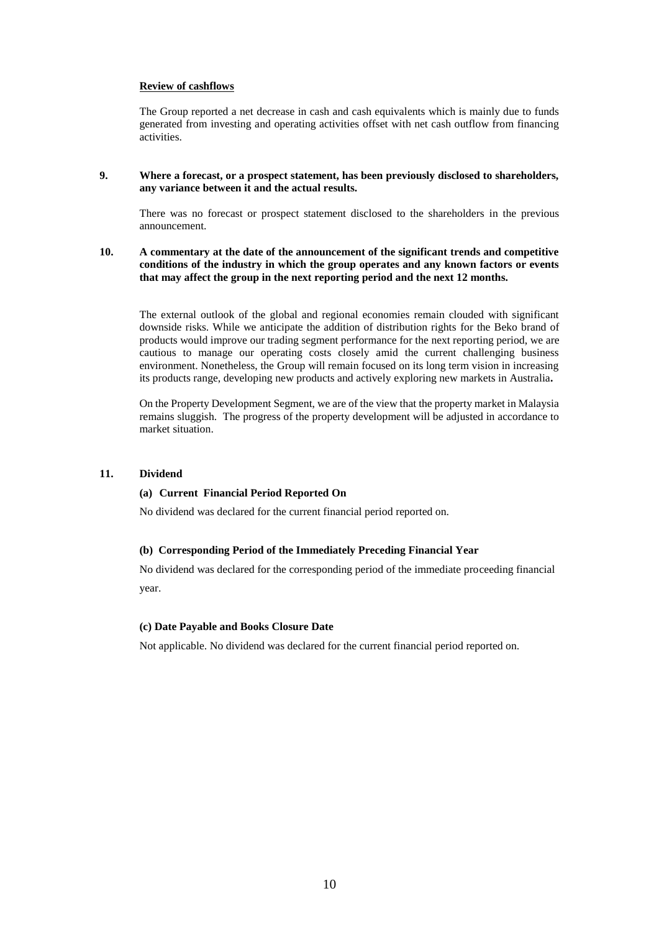## **Review of cashflows**

The Group reported a net decrease in cash and cash equivalents which is mainly due to funds generated from investing and operating activities offset with net cash outflow from financing activities.

### **9. Where a forecast, or a prospect statement, has been previously disclosed to shareholders, any variance between it and the actual results.**

There was no forecast or prospect statement disclosed to the shareholders in the previous announcement.

### **10. A commentary at the date of the announcement of the significant trends and competitive conditions of the industry in which the group operates and any known factors or events that may affect the group in the next reporting period and the next 12 months.**

The external outlook of the global and regional economies remain clouded with significant downside risks. While we anticipate the addition of distribution rights for the Beko brand of products would improve our trading segment performance for the next reporting period, we are cautious to manage our operating costs closely amid the current challenging business environment. Nonetheless, the Group will remain focused on its long term vision in increasing its products range, developing new products and actively exploring new markets in Australia**.**

On the Property Development Segment, we are of the view that the property market in Malaysia remains sluggish. The progress of the property development will be adjusted in accordance to market situation.

### **11. Dividend**

#### **(a) Current Financial Period Reported On**

No dividend was declared for the current financial period reported on.

## **(b) Corresponding Period of the Immediately Preceding Financial Year**

No dividend was declared for the corresponding period of the immediate proceeding financial year.

#### **(c) Date Payable and Books Closure Date**

Not applicable. No dividend was declared for the current financial period reported on.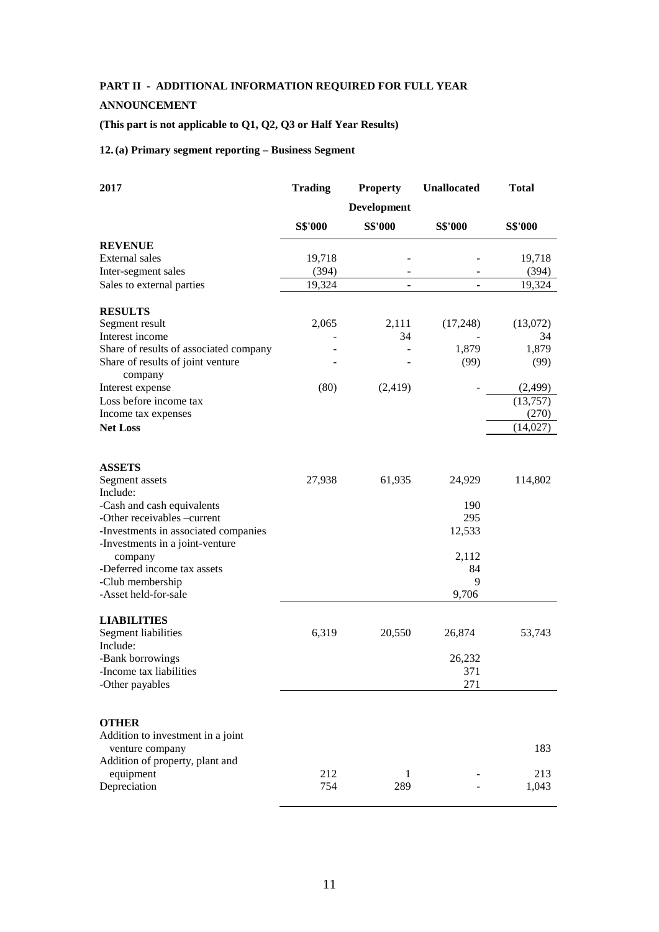# **PART II - ADDITIONAL INFORMATION REQUIRED FOR FULL YEAR**

## **ANNOUNCEMENT**

# **(This part is not applicable to Q1, Q2, Q3 or Half Year Results)**

## **12.(a) Primary segment reporting – Business Segment**

| 2017                                         | <b>Trading</b> | <b>Property</b>     | <b>Unallocated</b> | <b>Total</b>   |
|----------------------------------------------|----------------|---------------------|--------------------|----------------|
|                                              |                | Development         |                    |                |
|                                              | <b>S\$'000</b> | <b>S\$'000</b>      | <b>S\$'000</b>     | <b>S\$'000</b> |
| <b>REVENUE</b>                               |                |                     |                    |                |
| External sales                               | 19,718         |                     |                    | 19,718         |
| Inter-segment sales                          | (394)          |                     |                    | (394)          |
| Sales to external parties                    | 19,324         | ۰                   | $\blacksquare$     | 19,324         |
| <b>RESULTS</b>                               |                |                     |                    |                |
| Segment result                               | 2,065          | 2,111               | (17,248)           | (13,072)       |
| Interest income                              |                | 34                  |                    | 34             |
| Share of results of associated company       |                |                     | 1,879              | 1,879          |
| Share of results of joint venture<br>company |                |                     | (99)               | (99)           |
| Interest expense                             | (80)           | (2,419)             |                    | (2,499)        |
| Loss before income tax                       |                |                     |                    | (13,757)       |
| Income tax expenses                          |                |                     |                    | (270)          |
| <b>Net Loss</b>                              |                |                     |                    | (14,027)       |
| <b>ASSETS</b>                                |                |                     |                    |                |
| Segment assets                               | 27,938         | 61,935              | 24,929             | 114,802        |
| Include:                                     |                |                     |                    |                |
| -Cash and cash equivalents                   |                |                     | 190                |                |
| -Other receivables -current                  |                |                     | 295                |                |
| -Investments in associated companies         |                |                     | 12,533             |                |
| -Investments in a joint-venture<br>company   |                |                     | 2,112              |                |
| -Deferred income tax assets                  |                |                     | 84                 |                |
| -Club membership                             |                |                     | 9                  |                |
| -Asset held-for-sale                         |                |                     | 9,706              |                |
| <b>LIABILITIES</b>                           |                |                     |                    |                |
| Segment liabilities<br>Include:              | 6,319          | 20,550              | 26,874             | 53,743         |
| -Bank borrowings                             |                |                     | 26,232             |                |
| -Income tax liabilities                      |                |                     | 371                |                |
| -Other payables                              |                |                     | 271                |                |
|                                              |                |                     |                    |                |
| <b>OTHER</b>                                 |                |                     |                    |                |
| Addition to investment in a joint            |                |                     |                    |                |
| venture company                              |                |                     |                    | 183            |
| Addition of property, plant and              |                |                     |                    |                |
| equipment<br>Depreciation                    | 212<br>754     | $\mathbf{1}$<br>289 |                    | 213<br>1,043   |
|                                              |                |                     |                    |                |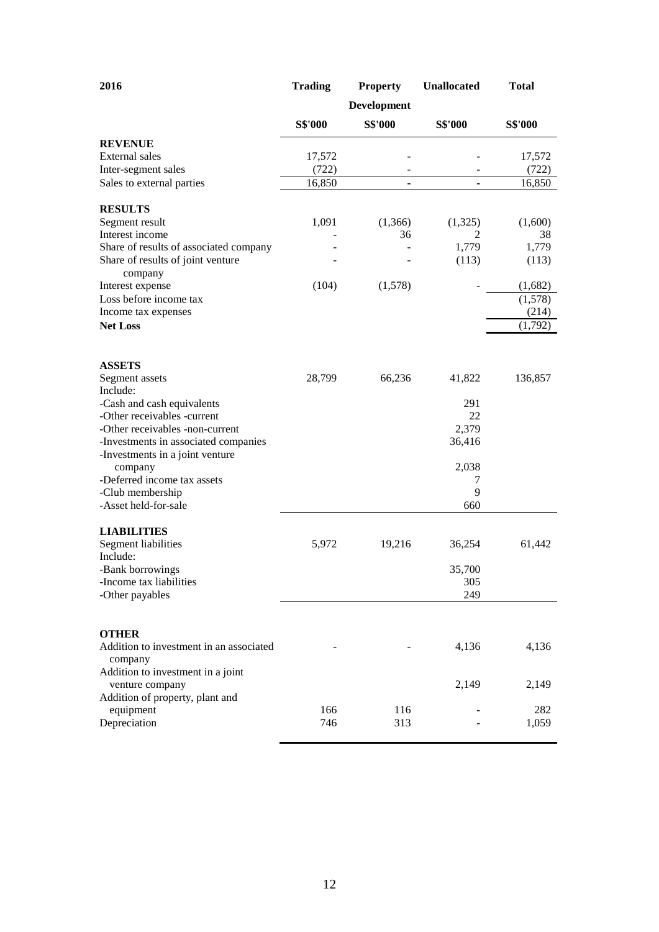| 2016                                                                    | <b>Trading</b> | <b>Property</b>    | <b>Unallocated</b> | <b>Total</b> |
|-------------------------------------------------------------------------|----------------|--------------------|--------------------|--------------|
|                                                                         |                | <b>Development</b> |                    |              |
|                                                                         | <b>S\$'000</b> | S\$'000            | <b>S\$'000</b>     | S\$'000      |
| <b>REVENUE</b>                                                          |                |                    |                    |              |
| External sales                                                          | 17,572         |                    |                    | 17,572       |
| Inter-segment sales                                                     | (722)          |                    |                    | (722)        |
| Sales to external parties                                               | 16,850         | ٠                  |                    | 16,850       |
| <b>RESULTS</b>                                                          |                |                    |                    |              |
| Segment result                                                          | 1,091          | (1,366)            | (1,325)            | (1,600)      |
| Interest income                                                         |                | 36                 | 2                  | 38           |
| Share of results of associated company                                  |                |                    | 1,779              | 1,779        |
| Share of results of joint venture<br>company                            |                |                    | (113)              | (113)        |
| Interest expense                                                        | (104)          | (1,578)            |                    | (1,682)      |
| Loss before income tax                                                  |                |                    |                    | (1,578)      |
| Income tax expenses                                                     |                |                    |                    | (214)        |
| <b>Net Loss</b>                                                         |                |                    |                    | (1,792)      |
|                                                                         |                |                    |                    |              |
| <b>ASSETS</b>                                                           |                |                    |                    |              |
| Segment assets                                                          | 28,799         | 66,236             | 41,822             | 136,857      |
| Include:                                                                |                |                    |                    |              |
| -Cash and cash equivalents                                              |                |                    | 291                |              |
| -Other receivables -current                                             |                |                    | 22                 |              |
| -Other receivables -non-current                                         |                |                    | 2,379              |              |
| -Investments in associated companies<br>-Investments in a joint venture |                |                    | 36,416             |              |
| company                                                                 |                |                    | 2,038              |              |
| -Deferred income tax assets                                             |                |                    | 7                  |              |
| -Club membership                                                        |                |                    | 9                  |              |
| -Asset held-for-sale                                                    |                |                    | 660                |              |
| <b>LIABILITIES</b>                                                      |                |                    |                    |              |
| Segment liabilities<br>Include:                                         | 5,972          | 19,216             | 36,254             | 61,442       |
| -Bank borrowings                                                        |                |                    | 35,700             |              |
| -Income tax liabilities                                                 |                |                    | 305                |              |
| -Other payables                                                         |                |                    | 249                |              |
|                                                                         |                |                    |                    |              |
| <b>OTHER</b>                                                            |                |                    |                    |              |
| Addition to investment in an associated<br>company                      |                |                    | 4,136              | 4,136        |
| Addition to investment in a joint                                       |                |                    |                    |              |
| venture company                                                         |                |                    | 2,149              | 2,149        |
| Addition of property, plant and                                         |                |                    |                    |              |
| equipment                                                               | 166            | 116                |                    | 282          |
| Depreciation                                                            | 746            | 313                |                    | 1,059        |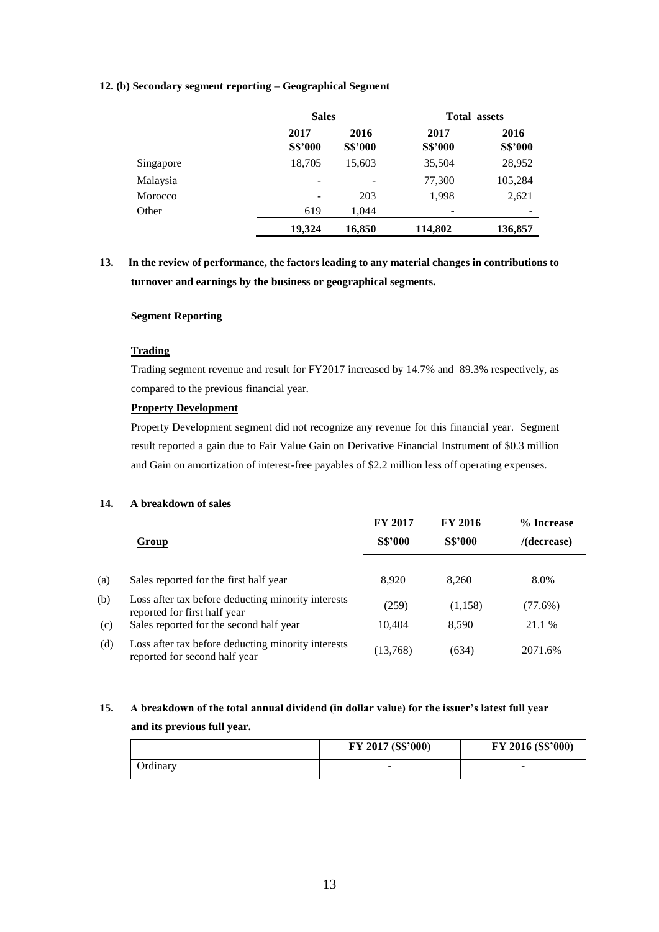## **12. (b) Secondary segment reporting – Geographical Segment**

|           |                        | <b>Sales</b>           |                        | <b>Total assets</b>    |  |
|-----------|------------------------|------------------------|------------------------|------------------------|--|
|           | 2017<br><b>S\$'000</b> | 2016<br><b>S\$'000</b> | 2017<br><b>S\$'000</b> | 2016<br><b>S\$'000</b> |  |
| Singapore | 18,705                 | 15,603                 | 35,504                 | 28,952                 |  |
| Malaysia  |                        |                        | 77,300                 | 105,284                |  |
| Morocco   |                        | 203                    | 1,998                  | 2,621                  |  |
| Other     | 619                    | 1.044                  |                        |                        |  |
|           | 19.324                 | 16,850                 | 114,802                | 136,857                |  |

# **13. In the review of performance, the factors leading to any material changes in contributions to turnover and earnings by the business or geographical segments.**

## **Segment Reporting**

## **Trading**

Trading segment revenue and result for FY2017 increased by 14.7% and 89.3% respectively, as compared to the previous financial year.

## **Property Development**

Property Development segment did not recognize any revenue for this financial year. Segment result reported a gain due to Fair Value Gain on Derivative Financial Instrument of \$0.3 million and Gain on amortization of interest-free payables of \$2.2 million less off operating expenses.

## **14. A breakdown of sales**

|     |                                                                                     | <b>FY 2017</b> | <b>FY 2016</b> | % Increase     |
|-----|-------------------------------------------------------------------------------------|----------------|----------------|----------------|
|     | Group                                                                               | <b>S\$'000</b> | <b>S\$'000</b> | $/$ (decrease) |
|     |                                                                                     |                |                |                |
| (a) | Sales reported for the first half year                                              | 8,920          | 8.260          | 8.0%           |
| (b) | Loss after tax before deducting minority interests<br>reported for first half year  | (259)          | (1,158)        | $(77.6\%)$     |
| (c) | Sales reported for the second half year                                             | 10.404         | 8.590          | 21.1 %         |
| (d) | Loss after tax before deducting minority interests<br>reported for second half year | (13,768)       | (634)          | 2071.6%        |

# **15. A breakdown of the total annual dividend (in dollar value) for the issuer's latest full year and its previous full year.**

|                  | FY 2017 (S\$'000) | FY 2016 (S\$'000) |
|------------------|-------------------|-------------------|
| <b>J</b> rdinary | $\sim$            | -                 |